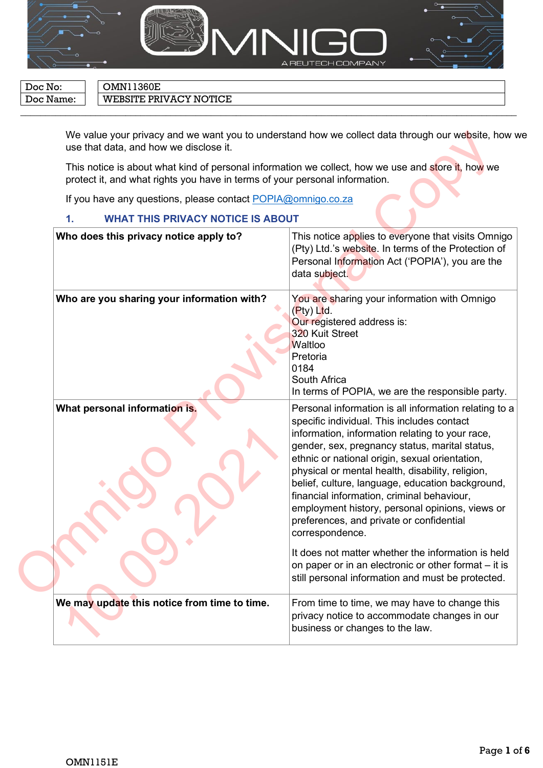

 $\overline{\phantom{a}}$  , and the contract of the contract of the contract of the contract of the contract of the contract of the contract of the contract of the contract of the contract of the contract of the contract of the contrac

Doc No: **OMN11360E** 

Doc Name: WEBSITE PRIVACY NOTICE

We value your privacy and we want you to understand how we collect data through our website, how we use that data, and how we disclose it.

#### **1. WHAT THIS PRIVACY NOTICE IS ABOUT**

| use that data, and how we disclose it.                                                                                                                                            | We value your privacy and we want you to understand how we collect data through our website, how v                                                                                                                                                                                                                                                                                                                                                                                                                                                                                                                                                                                                    |
|-----------------------------------------------------------------------------------------------------------------------------------------------------------------------------------|-------------------------------------------------------------------------------------------------------------------------------------------------------------------------------------------------------------------------------------------------------------------------------------------------------------------------------------------------------------------------------------------------------------------------------------------------------------------------------------------------------------------------------------------------------------------------------------------------------------------------------------------------------------------------------------------------------|
| This notice is about what kind of personal information we collect, how we use and store it, how we<br>protect it, and what rights you have in terms of your personal information. |                                                                                                                                                                                                                                                                                                                                                                                                                                                                                                                                                                                                                                                                                                       |
| If you have any questions, please contact POPIA@omnigo.co.za                                                                                                                      |                                                                                                                                                                                                                                                                                                                                                                                                                                                                                                                                                                                                                                                                                                       |
| <b>WHAT THIS PRIVACY NOTICE IS ABOUT</b><br>1.                                                                                                                                    |                                                                                                                                                                                                                                                                                                                                                                                                                                                                                                                                                                                                                                                                                                       |
| Who does this privacy notice apply to?                                                                                                                                            | This notice applies to everyone that visits Omnigo<br>(Pty) Ltd.'s website. In terms of the Protection of<br>Personal Information Act ('POPIA'), you are the<br>data subject.                                                                                                                                                                                                                                                                                                                                                                                                                                                                                                                         |
| Who are you sharing your information with?                                                                                                                                        | You are sharing your information with Omnigo<br>(Pty) Ltd.<br>Our registered address is:<br>320 Kuit Street<br>Waltloo<br>Pretoria<br>0184<br>South Africa<br>In terms of POPIA, we are the responsible party.                                                                                                                                                                                                                                                                                                                                                                                                                                                                                        |
| What personal information is.                                                                                                                                                     | Personal information is all information relating to a<br>specific individual. This includes contact<br>information, information relating to your race,<br>gender, sex, pregnancy status, marital status,<br>ethnic or national origin, sexual orientation,<br>physical or mental health, disability, religion,<br>belief, culture, language, education background,<br>financial information, criminal behaviour,<br>employment history, personal opinions, views or<br>preferences, and private or confidential<br>correspondence.<br>It does not matter whether the information is held<br>on paper or in an electronic or other format - it is<br>still personal information and must be protected. |
| We may update this notice from time to time.                                                                                                                                      | From time to time, we may have to change this<br>privacy notice to accommodate changes in our<br>business or changes to the law.                                                                                                                                                                                                                                                                                                                                                                                                                                                                                                                                                                      |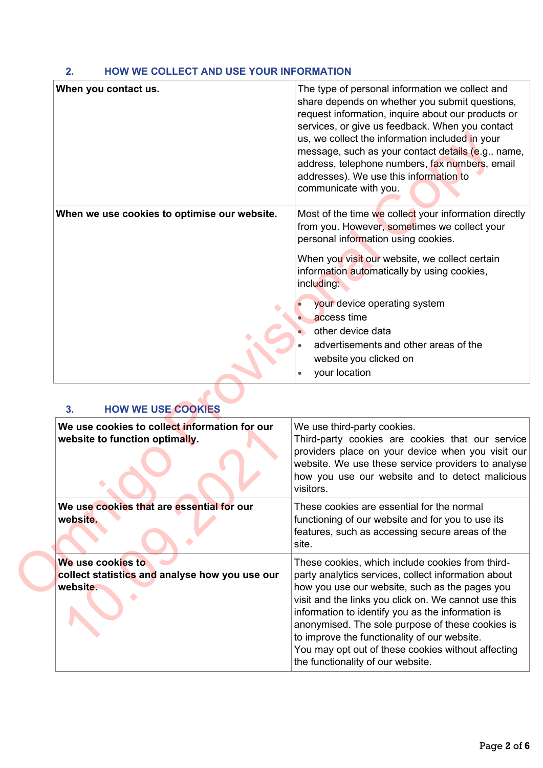#### **2. HOW WE COLLECT AND USE YOUR INFORMATION**

| When you contact us.                           | The type of personal information we collect and<br>share depends on whether you submit questions,<br>request information, inquire about our products or<br>services, or give us feedback. When you contact<br>us, we collect the information included in your<br>message, such as your contact details (e.g., name,<br>address, telephone numbers, fax numbers, email<br>addresses). We use this information to<br>communicate with you. |
|------------------------------------------------|------------------------------------------------------------------------------------------------------------------------------------------------------------------------------------------------------------------------------------------------------------------------------------------------------------------------------------------------------------------------------------------------------------------------------------------|
| When we use cookies to optimise our website.   | Most of the time we collect your information directly<br>from you. However, sometimes we collect your<br>personal information using cookies.                                                                                                                                                                                                                                                                                             |
|                                                | When you visit our website, we collect certain<br>information automatically by using cookies,<br>including:                                                                                                                                                                                                                                                                                                                              |
|                                                | your device operating system                                                                                                                                                                                                                                                                                                                                                                                                             |
|                                                | access time                                                                                                                                                                                                                                                                                                                                                                                                                              |
|                                                | other device data                                                                                                                                                                                                                                                                                                                                                                                                                        |
|                                                | advertisements and other areas of the                                                                                                                                                                                                                                                                                                                                                                                                    |
|                                                | website you clicked on                                                                                                                                                                                                                                                                                                                                                                                                                   |
|                                                | your location                                                                                                                                                                                                                                                                                                                                                                                                                            |
| <b>HOW WE USE COOKIES</b><br>3.                |                                                                                                                                                                                                                                                                                                                                                                                                                                          |
| We use cookies to collect information for our  | We use third-party cookies.                                                                                                                                                                                                                                                                                                                                                                                                              |
| website to function optimally.                 | Third-party cookies are cookies that our service<br>providers place on your device when you visit our<br>website. We use these service providers to analyse<br>how you use our website and to detect malicious<br>visitors.                                                                                                                                                                                                              |
| We use cookies that are essential for our      | These cookies are essential for the normal                                                                                                                                                                                                                                                                                                                                                                                               |
| website.                                       | functioning of our website and for you to use its<br>features, such as accessing secure areas of the<br>site.                                                                                                                                                                                                                                                                                                                            |
| We use cookies to                              | These cookies, which include cookies from third-                                                                                                                                                                                                                                                                                                                                                                                         |
| collect statistics and analyse how you use our | party analytics services, collect information about                                                                                                                                                                                                                                                                                                                                                                                      |
| website.                                       | how you use our website, such as the pages you<br>rigit and the links you oliek on M/s connot use this                                                                                                                                                                                                                                                                                                                                   |

# **3. HOW WE USE COOKIES**

| We use cookies to collect information for our<br>website to function optimally. | We use third-party cookies.<br>Third-party cookies are cookies that our service<br>providers place on your device when you visit our<br>website. We use these service providers to analyse<br>how you use our website and to detect malicious<br>visitors.                                                                                                                                                                                                            |
|---------------------------------------------------------------------------------|-----------------------------------------------------------------------------------------------------------------------------------------------------------------------------------------------------------------------------------------------------------------------------------------------------------------------------------------------------------------------------------------------------------------------------------------------------------------------|
| We use cookies that are essential for our<br>website.                           | These cookies are essential for the normal<br>functioning of our website and for you to use its<br>features, such as accessing secure areas of the<br>site.                                                                                                                                                                                                                                                                                                           |
| We use cookies to<br>collect statistics and analyse how you use our<br>website. | These cookies, which include cookies from third-<br>party analytics services, collect information about<br>how you use our website, such as the pages you<br>visit and the links you click on. We cannot use this<br>information to identify you as the information is<br>anonymised. The sole purpose of these cookies is<br>to improve the functionality of our website.<br>You may opt out of these cookies without affecting<br>the functionality of our website. |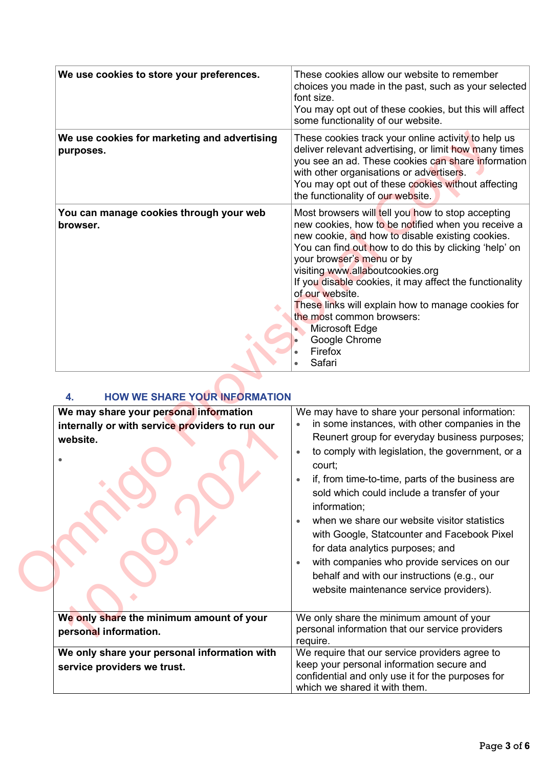| We use cookies to store your preferences.                   | These cookies allow our website to remember<br>choices you made in the past, such as your selected<br>font size.<br>You may opt out of these cookies, but this will affect<br>some functionality of our website.                                                                                                                                                                                                                                                                                                      |
|-------------------------------------------------------------|-----------------------------------------------------------------------------------------------------------------------------------------------------------------------------------------------------------------------------------------------------------------------------------------------------------------------------------------------------------------------------------------------------------------------------------------------------------------------------------------------------------------------|
| We use cookies for marketing and advertising<br>purposes.   | These cookies track your online activity to help us<br>deliver relevant advertising, or limit how many times<br>you see an ad. These cookies can share information<br>with other organisations or advertisers.<br>You may opt out of these cookies without affecting<br>the functionality of our website.                                                                                                                                                                                                             |
| You can manage cookies through your web<br>browser.         | Most browsers will tell you how to stop accepting<br>new cookies, how to be notified when you receive a<br>new cookie, and how to disable existing cookies.<br>You can find out how to do this by clicking 'help' on<br>your browser's menu or by<br>visiting www.allaboutcookies.org<br>If you disable cookies, it may affect the functionality<br>of our website.<br>These links will explain how to manage cookies for<br>the most common browsers:<br><b>Microsoft Edge</b><br>Google Chrome<br>Firefox<br>Safari |
| <b>HOW WE SHARE YOUR INFORMATION</b><br>4.                  |                                                                                                                                                                                                                                                                                                                                                                                                                                                                                                                       |
| We may share your personal information                      | We may have to share your personal information:                                                                                                                                                                                                                                                                                                                                                                                                                                                                       |
| internally or with service providers to run our<br>website. | in some instances, with other companies in the<br>Reunert group for everyday business purposes;                                                                                                                                                                                                                                                                                                                                                                                                                       |
|                                                             | to comply with legislation, the government, or a<br>court;                                                                                                                                                                                                                                                                                                                                                                                                                                                            |
|                                                             | if, from time-to-time, parts of the business are<br>sold which could include a transfer of your                                                                                                                                                                                                                                                                                                                                                                                                                       |
|                                                             | information;<br>when we share our website visitor statistics<br>with Google, Statcounter and Facebook Pixel                                                                                                                                                                                                                                                                                                                                                                                                           |
|                                                             | for data analytics purposes; and                                                                                                                                                                                                                                                                                                                                                                                                                                                                                      |
|                                                             |                                                                                                                                                                                                                                                                                                                                                                                                                                                                                                                       |
|                                                             | with companies who provide services on our<br>behalf and with our instructions (e.g., our<br>website maintenance service providers).                                                                                                                                                                                                                                                                                                                                                                                  |

## **4. HOW WE SHARE YOUR INFORMATION**

| We may share your personal information          | We may have to share your personal information:                                                                                                                                                                                                                         |
|-------------------------------------------------|-------------------------------------------------------------------------------------------------------------------------------------------------------------------------------------------------------------------------------------------------------------------------|
| internally or with service providers to run our | in some instances, with other companies in the                                                                                                                                                                                                                          |
| website.                                        | Reunert group for everyday business purposes;                                                                                                                                                                                                                           |
|                                                 | to comply with legislation, the government, or a<br>court;                                                                                                                                                                                                              |
|                                                 | if, from time-to-time, parts of the business are<br>sold which could include a transfer of your<br>information;                                                                                                                                                         |
|                                                 | when we share our website visitor statistics<br>with Google, Statcounter and Facebook Pixel<br>for data analytics purposes; and<br>with companies who provide services on our<br>behalf and with our instructions (e.g., our<br>website maintenance service providers). |
| We only share the minimum amount of your        | We only share the minimum amount of your                                                                                                                                                                                                                                |
|                                                 | personal information that our service providers                                                                                                                                                                                                                         |
| personal information.                           | require.                                                                                                                                                                                                                                                                |
| We only share your personal information with    | We require that our service providers agree to                                                                                                                                                                                                                          |
| service providers we trust.                     | keep your personal information secure and                                                                                                                                                                                                                               |
|                                                 | confidential and only use it for the purposes for                                                                                                                                                                                                                       |
|                                                 | which we shared it with them.                                                                                                                                                                                                                                           |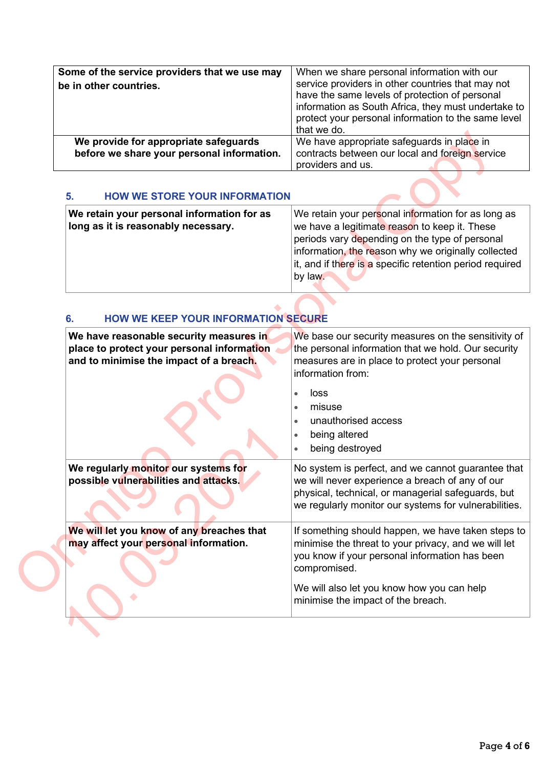| Some of the service providers that we use may<br>be in other countries.             | When we share personal information with our<br>service providers in other countries that may not<br>have the same levels of protection of personal<br>information as South Africa, they must undertake to<br>protect your personal information to the same level<br>that we do. |
|-------------------------------------------------------------------------------------|---------------------------------------------------------------------------------------------------------------------------------------------------------------------------------------------------------------------------------------------------------------------------------|
| We provide for appropriate safeguards<br>before we share your personal information. | We have appropriate safeguards in place in<br>contracts between our local and foreign service<br>providers and us.                                                                                                                                                              |

#### **5. HOW WE STORE YOUR INFORMATION**

| We retain your personal information for as | We retain your personal information for as long as       |
|--------------------------------------------|----------------------------------------------------------|
| long as it is reasonably necessary.        | we have a legitimate reason to keep it. These            |
|                                            | periods vary depending on the type of personal           |
|                                            | information, the reason why we originally collected      |
|                                            | it, and if there is a specific retention period required |
|                                            | by law.                                                  |
|                                            |                                                          |

## **6. HOW WE KEEP YOUR INFORMATION SECURE**

|                                                                                                                                  | ulat we uv.                                                                                                                                                                                                                                                                         |
|----------------------------------------------------------------------------------------------------------------------------------|-------------------------------------------------------------------------------------------------------------------------------------------------------------------------------------------------------------------------------------------------------------------------------------|
| We provide for appropriate safeguards<br>before we share your personal information.                                              | We have appropriate safeguards in place in<br>contracts between our local and foreign service<br>providers and us.                                                                                                                                                                  |
| <b>HOW WE STORE YOUR INFORMATION</b><br>5.                                                                                       |                                                                                                                                                                                                                                                                                     |
| We retain your personal information for as<br>long as it is reasonably necessary.                                                | We retain your personal information for as long as<br>we have a legitimate reason to keep it. These<br>periods vary depending on the type of personal<br>information, the reason why we originally collected<br>it, and if there is a specific retention period required<br>by law. |
| <b>HOW WE KEEP YOUR INFORMATION SECURE</b><br>6.                                                                                 |                                                                                                                                                                                                                                                                                     |
| We have reasonable security measures in<br>place to protect your personal information<br>and to minimise the impact of a breach. | We base our security measures on the sensitivity of<br>the personal information that we hold. Our security<br>measures are in place to protect your personal<br>information from:<br>loss<br>misuse<br>$\bullet$<br>unauthorised access<br>being altered<br>being destroyed         |
| We regularly monitor our systems for<br>possible vulnerabilities and attacks.                                                    | No system is perfect, and we cannot guarantee that<br>we will never experience a breach of any of our<br>physical, technical, or managerial safeguards, but<br>we regularly monitor our systems for vulnerabilities.                                                                |
| We will let you know of any breaches that<br>may affect your personal information.                                               | If something should happen, we have taken steps to<br>minimise the threat to your privacy, and we will let<br>you know if your personal information has been<br>compromised.<br>We will also let you know how you can help                                                          |
|                                                                                                                                  | minimise the impact of the breach.                                                                                                                                                                                                                                                  |